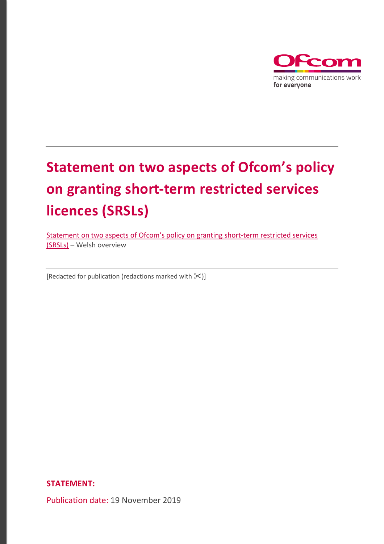

# **Statement on two aspects of Ofcom's policy on granting short-term restricted services licences (SRSLs)**

Statement on two aspects of Ofcom's policy on [granting short-term restricted services](https://www.ofcom.org.uk/__data/assets/pdf_file/0028/179740/datganiad-srsl.pdf)  [\(SRSLs\)](https://www.ofcom.org.uk/__data/assets/pdf_file/0028/179740/datganiad-srsl.pdf) – Welsh overview

[Redacted for publication (redactions marked with  $\mathcal{K}$ ]]

**STATEMENT:** 

Publication date: 19 November 2019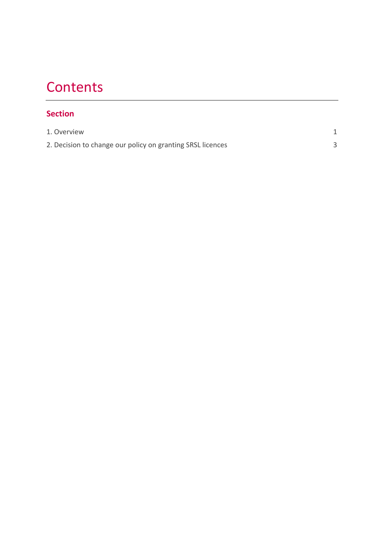## **Contents**

| ction |  |
|-------|--|
|       |  |

| 1. Overview                                                |  |
|------------------------------------------------------------|--|
| 2. Decision to change our policy on granting SRSL licences |  |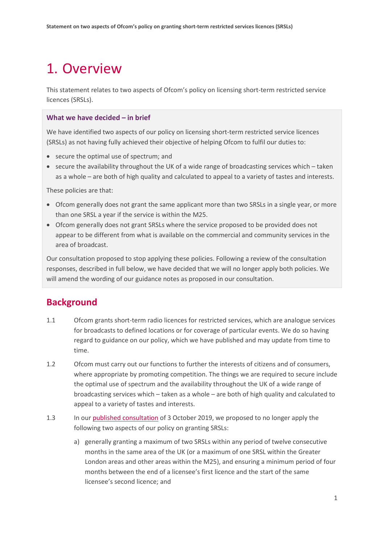## <span id="page-2-0"></span>1. Overview

This statement relates to two aspects of Ofcom's policy on licensing short-term restricted service licences (SRSLs).

#### **What we have decided – in brief**

We have identified two aspects of our policy on licensing short-term restricted service licences (SRSLs) as not having fully achieved their objective of helping Ofcom to fulfil our duties to:

- secure the optimal use of spectrum; and
- secure the availability throughout the UK of a wide range of broadcasting services which taken as a whole – are both of high quality and calculated to appeal to a variety of tastes and interests.

These policies are that:

- Ofcom generally does not grant the same applicant more than two SRSLs in a single year, or more than one SRSL a year if the service is within the M25.
- Ofcom generally does not grant SRSLs where the service proposed to be provided does not appear to be different from what is available on the commercial and community services in the area of broadcast.

Our consultation proposed to stop applying these policies. Following a review of the consultation responses, described in full below, we have decided that we will no longer apply both policies. We will amend the wording of our guidance notes as proposed in our consultation.

## **Background**

- 1.1 Ofcom grants short-term radio licences for restricted services, which are analogue services for broadcasts to defined locations or for coverage of particular events. We do so having regard to guidance on our policy, which we have published and may update from time to time.
- 1.2 Ofcom must carry out our functions to further the interests of citizens and of consumers, where appropriate by promoting competition. The things we are required to secure include the optimal use of spectrum and the availability throughout the UK of a wide range of broadcasting services which – taken as a whole – are both of high quality and calculated to appeal to a variety of tastes and interests.
- 1.3 In ou[r published consultation](https://www.ofcom.org.uk/__data/assets/pdf_file/0032/169709/consultation-short-term-restricted-service-licensing-review.pdf) of 3 October 2019, we proposed to no longer apply the following two aspects of our policy on granting SRSLs:
	- a) generally granting a maximum of two SRSLs within any period of twelve consecutive months in the same area of the UK (or a maximum of one SRSL within the Greater London areas and other areas within the M25), and ensuring a minimum period of four months between the end of a licensee's first licence and the start of the same licensee's second licence; and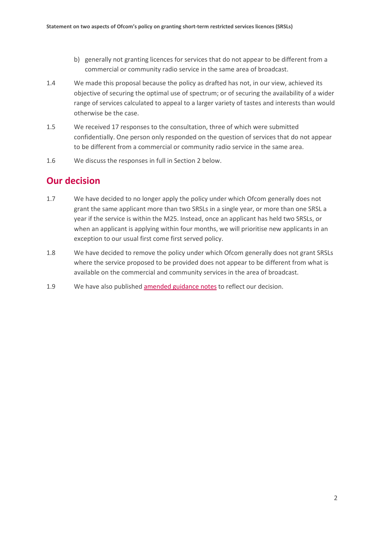- b) generally not granting licences for services that do not appear to be different from a commercial or community radio service in the same area of broadcast.
- 1.4 We made this proposal because the policy as drafted has not, in our view, achieved its objective of securing the optimal use of spectrum; or of securing the availability of a wider range of services calculated to appeal to a larger variety of tastes and interests than would otherwise be the case.
- 1.5 We received 17 responses to the consultation, three of which were submitted confidentially. One person only responded on the question of services that do not appear to be different from a commercial or community radio service in the same area.
- 1.6 We discuss the responses in full in Section 2 below.

## **Our decision**

- 1.7 We have decided to no longer apply the policy under which Ofcom generally does not grant the same applicant more than two SRSLs in a single year, or more than one SRSL a year if the service is within the M25. Instead, once an applicant has held two SRSLs, or when an applicant is applying within four months, we will prioritise new applicants in an exception to our usual first come first served policy.
- 1.8 We have decided to remove the policy under which Ofcom generally does not grant SRSLs where the service proposed to be provided does not appear to be different from what is available on the commercial and community services in the area of broadcast.
- 1.9 We have also published [amended guidance notes](https://www.ofcom.org.uk/__data/assets/pdf_file/0030/179517/short-term-rsl-guidance-nov-19.pdf) to reflect our decision.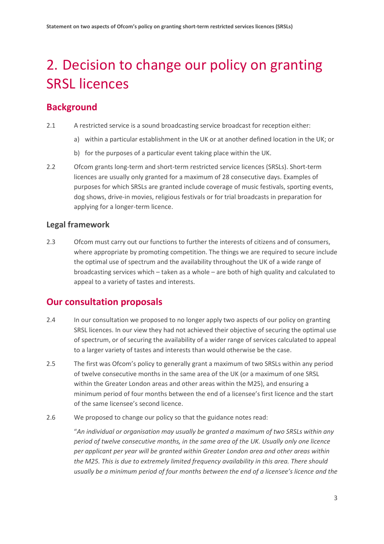## <span id="page-4-0"></span>2. Decision to change our policy on granting SRSL licences

## **Background**

- 2.1 A restricted service is a sound broadcasting service broadcast for reception either:
	- a) within a particular establishment in the UK or at another defined location in the UK; or
	- b) for the purposes of a particular event taking place within the UK.
- 2.2 Ofcom grants long-term and short-term restricted service licences (SRSLs). Short-term licences are usually only granted for a maximum of 28 consecutive days. Examples of purposes for which SRSLs are granted include coverage of music festivals, sporting events, dog shows, drive-in movies, religious festivals or for trial broadcasts in preparation for applying for a longer-term licence.

### **Legal framework**

2.3 Ofcom must carry out our functions to further the interests of citizens and of consumers, where appropriate by promoting competition. The things we are required to secure include the optimal use of spectrum and the availability throughout the UK of a wide range of broadcasting services which – taken as a whole – are both of high quality and calculated to appeal to a variety of tastes and interests.

### **Our consultation proposals**

- 2.4 In our consultation we proposed to no longer apply two aspects of our policy on granting SRSL licences. In our view they had not achieved their objective of securing the optimal use of spectrum, or of securing the availability of a wider range of services calculated to appeal to a larger variety of tastes and interests than would otherwise be the case.
- 2.5 The first was Ofcom's policy to generally grant a maximum of two SRSLs within any period of twelve consecutive months in the same area of the UK (or a maximum of one SRSL within the Greater London areas and other areas within the M25), and ensuring a minimum period of four months between the end of a licensee's first licence and the start of the same licensee's second licence.
- 2.6 We proposed to change our policy so that the guidance notes read:

"*An individual or organisation may usually be granted a maximum of two SRSLs within any period of twelve consecutive months, in the same area of the UK. Usually only one licence per applicant per year will be granted within Greater London area and other areas within the M25. This is due to extremely limited frequency availability in this area. There should usually be a minimum period of four months between the end of a licensee's licence and the*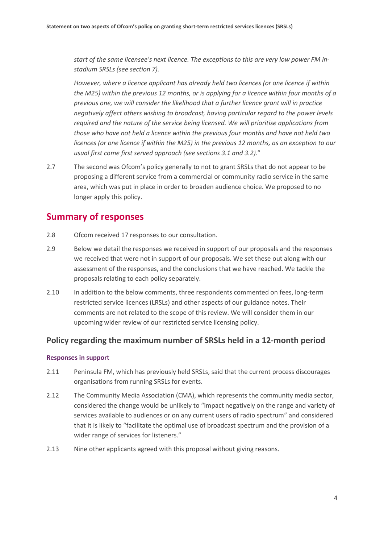*start of the same licensee's next licence. The exceptions to this are very low power FM instadium SRSLs (see section 7).*

*However, where a licence applicant has already held two licences (or one licence if within the M25) within the previous 12 months, or is applying for a licence within four months of a previous one, we will consider the likelihood that a further licence grant will in practice negatively affect others wishing to broadcast, having particular regard to the power levels required and the nature of the service being licensed. We will prioritise applications from those who have not held a licence within the previous four months and have not held two licences (or one licence if within the M25) in the previous 12 months, as an exception to our usual first come first served approach (see sections 3.1 and 3.2)*."

2.7 The second was Ofcom's policy generally to not to grant SRSLs that do not appear to be proposing a different service from a commercial or community radio service in the same area, which was put in place in order to broaden audience choice. We proposed to no longer apply this policy.

## **Summary of responses**

- 2.8 Ofcom received 17 responses to our consultation.
- 2.9 Below we detail the responses we received in support of our proposals and the responses we received that were not in support of our proposals. We set these out along with our assessment of the responses, and the conclusions that we have reached. We tackle the proposals relating to each policy separately.
- 2.10 In addition to the below comments, three respondents commented on fees, long-term restricted service licences (LRSLs) and other aspects of our guidance notes. Their comments are not related to the scope of this review. We will consider them in our upcoming wider review of our restricted service licensing policy.

### **Policy regarding the maximum number of SRSLs held in a 12-month period**

#### **Responses in support**

- 2.11 Peninsula FM, which has previously held SRSLs, said that the current process discourages organisations from running SRSLs for events.
- 2.12 The Community Media Association (CMA), which represents the community media sector, considered the change would be unlikely to "impact negatively on the range and variety of services available to audiences or on any current users of radio spectrum" and considered that it is likely to "facilitate the optimal use of broadcast spectrum and the provision of a wider range of services for listeners."
- 2.13 Nine other applicants agreed with this proposal without giving reasons.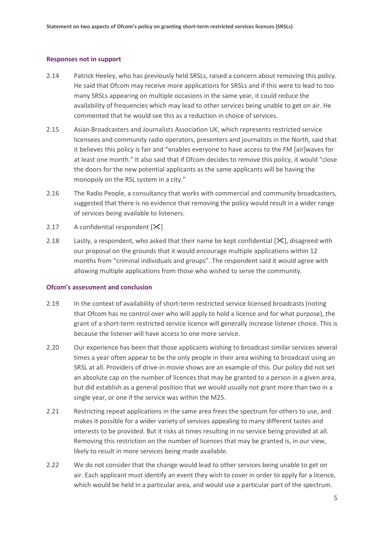#### **Responses not in support**

- 2.14 Patrick Heeley, who has previously held SRSLs, raised a concern about removing this policy. He said that Ofcom may receive more applications for SRSLs and if this were to lead to too many SRSLs appearing on multiple occasions in the same year, it could reduce the availability of frequencies which may lead to other services being unable to get on air. He commented that he would see this as a reduction in choice of services.
- 2.15 Asian Broadcasters and Journalists Association UK, which represents restricted service licensees and community radio operators, presenters and journalists in the North, said that it believes this policy is fair and "enables everyone to have access to the FM [air]waves for at least one month." It also said that if Ofcom decides to remove this policy, it would "close the doors for the new potential applicants as the same applicants will be having the monopoly on the RSL system in a city."
- 2.16 The Radio People, a consultancy that works with commercial and community broadcasters, suggested that there is no evidence that removing the policy would result in a wider range of services being available to listeners.
- 2.17 A confidential respondent  $[\mathcal{K}]$
- 2.18 Lastly, a respondent, who asked that their name be kept confidential  $[\mathcal{X}]$ , disagreed with our proposal on the grounds that it would encourage multiple applications within 12 months from "criminal individuals and groups". The respondent said it would agree with allowing multiple applications from those who wished to serve the community.

#### **Ofcom's assessment and conclusion**

- 2.19 In the context of availability of short-term restricted service licensed broadcasts (noting that Ofcom has no control over who will apply to hold a licence and for what purpose), the grant of a short-term restricted service licence will generally increase listener choice. This is because the listener will have access to one more service.
- 2.20 Our experience has been that those applicants wishing to broadcast similar services several times a year often appear to be the only people in their area wishing to broadcast using an SRSL at all. Providers of drive-in movie shows are an example of this. Our policy did not set an absolute cap on the number of licences that may be granted to a person in a given area, but did establish as a general position that we would usually not grant more than two in a single year, or one if the service was within the M25.
- 2.21 Restricting repeat applications in the same area frees the spectrum for others to use, and makes it possible for a wider variety of services appealing to many different tastes and interests to be provided. But it risks at times resulting in no service being provided at all. Removing this restriction on the number of licences that may be granted is, in our view, likely to result in more services being made available.
- 2.22 We do not consider that the change would lead to other services being unable to get on air. Each applicant must identify an event they wish to cover in order to apply for a licence, which would be held in a particular area, and would use a particular part of the spectrum.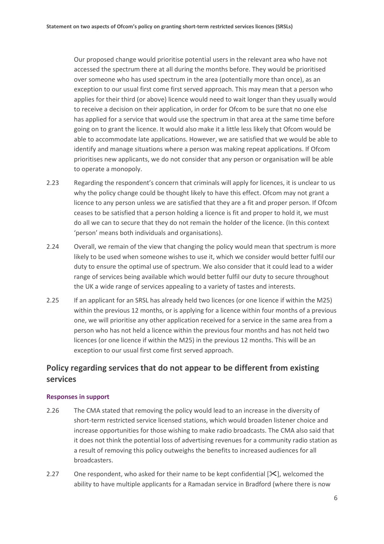Our proposed change would prioritise potential users in the relevant area who have not accessed the spectrum there at all during the months before. They would be prioritised over someone who has used spectrum in the area (potentially more than once), as an exception to our usual first come first served approach. This may mean that a person who applies for their third (or above) licence would need to wait longer than they usually would to receive a decision on their application, in order for Ofcom to be sure that no one else has applied for a service that would use the spectrum in that area at the same time before going on to grant the licence. It would also make it a little less likely that Ofcom would be able to accommodate late applications. However, we are satisfied that we would be able to identify and manage situations where a person was making repeat applications. If Ofcom prioritises new applicants, we do not consider that any person or organisation will be able to operate a monopoly.

- 2.23 Regarding the respondent's concern that criminals will apply for licences, it is unclear to us why the policy change could be thought likely to have this effect. Ofcom may not grant a licence to any person unless we are satisfied that they are a fit and proper person. If Ofcom ceases to be satisfied that a person holding a licence is fit and proper to hold it, we must do all we can to secure that they do not remain the holder of the licence. (In this context 'person' means both individuals and organisations).
- 2.24 Overall, we remain of the view that changing the policy would mean that spectrum is more likely to be used when someone wishes to use it, which we consider would better fulfil our duty to ensure the optimal use of spectrum. We also consider that it could lead to a wider range of services being available which would better fulfil our duty to secure throughout the UK a wide range of services appealing to a variety of tastes and interests.
- 2.25 If an applicant for an SRSL has already held two licences (or one licence if within the M25) within the previous 12 months, or is applying for a licence within four months of a previous one, we will prioritise any other application received for a service in the same area from a person who has not held a licence within the previous four months and has not held two licences (or one licence if within the M25) in the previous 12 months. This will be an exception to our usual first come first served approach.

## **Policy regarding services that do not appear to be different from existing services**

#### **Responses in support**

- 2.26 The CMA stated that removing the policy would lead to an increase in the diversity of short-term restricted service licensed stations, which would broaden listener choice and increase opportunities for those wishing to make radio broadcasts. The CMA also said that it does not think the potential loss of advertising revenues for a community radio station as a result of removing this policy outweighs the benefits to increased audiences for all broadcasters.
- 2.27 One respondent, who asked for their name to be kept confidential  $[\&]$ , welcomed the ability to have multiple applicants for a Ramadan service in Bradford (where there is now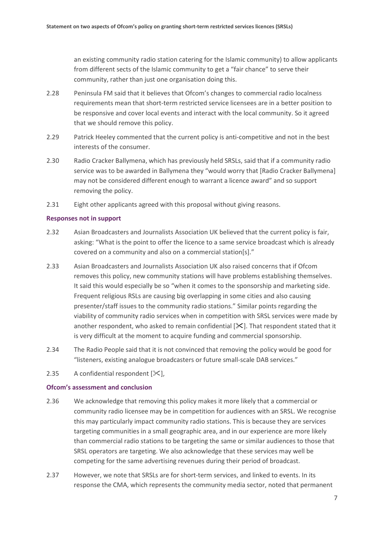an existing community radio station catering for the Islamic community) to allow applicants from different sects of the Islamic community to get a "fair chance" to serve their community, rather than just one organisation doing this.

- 2.28 Peninsula FM said that it believes that Ofcom's changes to commercial radio localness requirements mean that short-term restricted service licensees are in a better position to be responsive and cover local events and interact with the local community. So it agreed that we should remove this policy.
- 2.29 Patrick Heeley commented that the current policy is anti-competitive and not in the best interests of the consumer.
- 2.30 Radio Cracker Ballymena, which has previously held SRSLs, said that if a community radio service was to be awarded in Ballymena they "would worry that [Radio Cracker Ballymena] may not be considered different enough to warrant a licence award" and so support removing the policy.
- 2.31 Eight other applicants agreed with this proposal without giving reasons.

#### **Responses not in support**

- 2.32 Asian Broadcasters and Journalists Association UK believed that the current policy is fair, asking: "What is the point to offer the licence to a same service broadcast which is already covered on a community and also on a commercial station[s]."
- 2.33 Asian Broadcasters and Journalists Association UK also raised concerns that if Ofcom removes this policy, new community stations will have problems establishing themselves. It said this would especially be so "when it comes to the sponsorship and marketing side. Frequent religious RSLs are causing big overlapping in some cities and also causing presenter/staff issues to the community radio stations." Similar points regarding the viability of community radio services when in competition with SRSL services were made by another respondent, who asked to remain confidential  $[\mathcal{K}]$ . That respondent stated that it is very difficult at the moment to acquire funding and commercial sponsorship.
- 2.34 The Radio People said that it is not convinced that removing the policy would be good for "listeners, existing analogue broadcasters or future small-scale DAB services."
- 2.35 A confidential respondent  $[\times]$ ,

#### **Ofcom's assessment and conclusion**

- 2.36 We acknowledge that removing this policy makes it more likely that a commercial or community radio licensee may be in competition for audiences with an SRSL. We recognise this may particularly impact community radio stations. This is because they are services targeting communities in a small geographic area, and in our experience are more likely than commercial radio stations to be targeting the same or similar audiences to those that SRSL operators are targeting. We also acknowledge that these services may well be competing for the same advertising revenues during their period of broadcast.
- 2.37 However, we note that SRSLs are for short-term services, and linked to events. In its response the CMA, which represents the community media sector, noted that permanent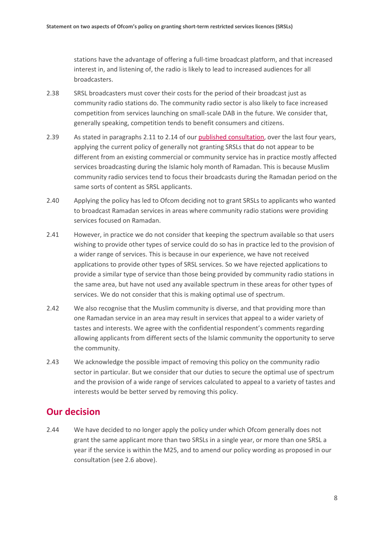stations have the advantage of offering a full-time broadcast platform, and that increased interest in, and listening of, the radio is likely to lead to increased audiences for all broadcasters.

- 2.38 SRSL broadcasters must cover their costs for the period of their broadcast just as community radio stations do. The community radio sector is also likely to face increased competition from services launching on small-scale DAB in the future. We consider that, generally speaking, competition tends to benefit consumers and citizens.
- 2.39 As stated in paragraphs 2.11 to 2.14 of our [published consultation,](https://www.ofcom.org.uk/__data/assets/pdf_file/0032/169709/consultation-short-term-restricted-service-licensing-review.pdf) over the last four years, applying the current policy of generally not granting SRSLs that do not appear to be different from an existing commercial or community service has in practice mostly affected services broadcasting during the Islamic holy month of Ramadan. This is because Muslim community radio services tend to focus their broadcasts during the Ramadan period on the same sorts of content as SRSL applicants.
- 2.40 Applying the policy has led to Ofcom deciding not to grant SRSLs to applicants who wanted to broadcast Ramadan services in areas where community radio stations were providing services focused on Ramadan.
- 2.41 However, in practice we do not consider that keeping the spectrum available so that users wishing to provide other types of service could do so has in practice led to the provision of a wider range of services. This is because in our experience, we have not received applications to provide other types of SRSL services. So we have rejected applications to provide a similar type of service than those being provided by community radio stations in the same area, but have not used any available spectrum in these areas for other types of services. We do not consider that this is making optimal use of spectrum.
- 2.42 We also recognise that the Muslim community is diverse, and that providing more than one Ramadan service in an area may result in services that appeal to a wider variety of tastes and interests. We agree with the confidential respondent's comments regarding allowing applicants from different sects of the Islamic community the opportunity to serve the community.
- 2.43 We acknowledge the possible impact of removing this policy on the community radio sector in particular. But we consider that our duties to secure the optimal use of spectrum and the provision of a wide range of services calculated to appeal to a variety of tastes and interests would be better served by removing this policy.

## **Our decision**

2.44 We have decided to no longer apply the policy under which Ofcom generally does not grant the same applicant more than two SRSLs in a single year, or more than one SRSL a year if the service is within the M25, and to amend our policy wording as proposed in our consultation (see 2.6 above).